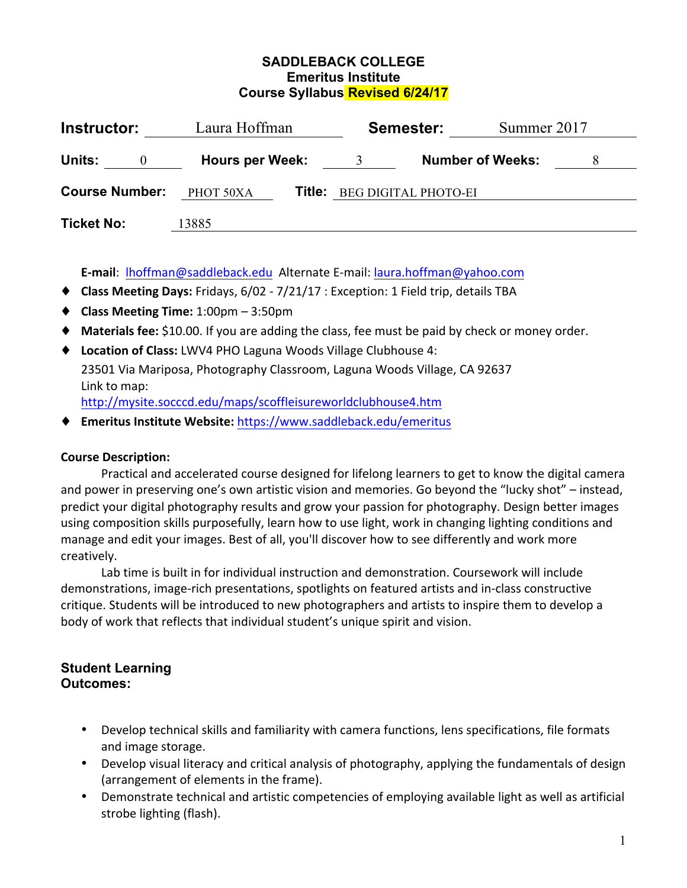### **SADDLEBACK COLLEGE Emeritus Institute Course Syllabus Revised 6/24/17**

| Instructor:              | Laura Hoffman          |        | Semester:                   |                         | Summer 2017 |  |
|--------------------------|------------------------|--------|-----------------------------|-------------------------|-------------|--|
| Units:<br>$\overline{0}$ | <b>Hours per Week:</b> |        |                             | <b>Number of Weeks:</b> |             |  |
| <b>Course Number:</b>    | PHOT 50XA              | Title: | <b>BEG DIGITAL PHOTO-EI</b> |                         |             |  |
| <b>Ticket No:</b>        | 13885                  |        |                             |                         |             |  |

**E-mail**: lhoffman@saddleback.edu Alternate E-mail: laura.hoffman@yahoo.com

- ◆ **Class Meeting Days:** Fridays, 6/02 7/21/17 : Exception: 1 Field trip, details TBA
- ♦ **Class Meeting Time:** 1:00pm – 3:50pm
- ◆ **Materials fee:** \$10.00. If you are adding the class, fee must be paid by check or money order.
- $\blacklozenge$  Location of Class: LWV4 PHO Laguna Woods Village Clubhouse 4: 23501 Via Mariposa, Photography Classroom, Laguna Woods Village, CA 92637 Link to map: http://mysite.socccd.edu/maps/scoffleisureworldclubhouse4.htm
- ◆ **Emeritus Institute Website: https://www.saddleback.edu/emeritus**

# **Course Description:**

Practical and accelerated course designed for lifelong learners to get to know the digital camera and power in preserving one's own artistic vision and memories. Go beyond the "lucky shot" – instead, predict your digital photography results and grow your passion for photography. Design better images using composition skills purposefully, learn how to use light, work in changing lighting conditions and manage and edit your images. Best of all, you'll discover how to see differently and work more creatively.

Lab time is built in for individual instruction and demonstration. Coursework will include demonstrations, image-rich presentations, spotlights on featured artists and in-class constructive critique. Students will be introduced to new photographers and artists to inspire them to develop a body of work that reflects that individual student's unique spirit and vision.

# **Student Learning Outcomes:**

- Develop technical skills and familiarity with camera functions, lens specifications, file formats and image storage.
- Develop visual literacy and critical analysis of photography, applying the fundamentals of design (arrangement of elements in the frame).
- Demonstrate technical and artistic competencies of employing available light as well as artificial strobe lighting (flash).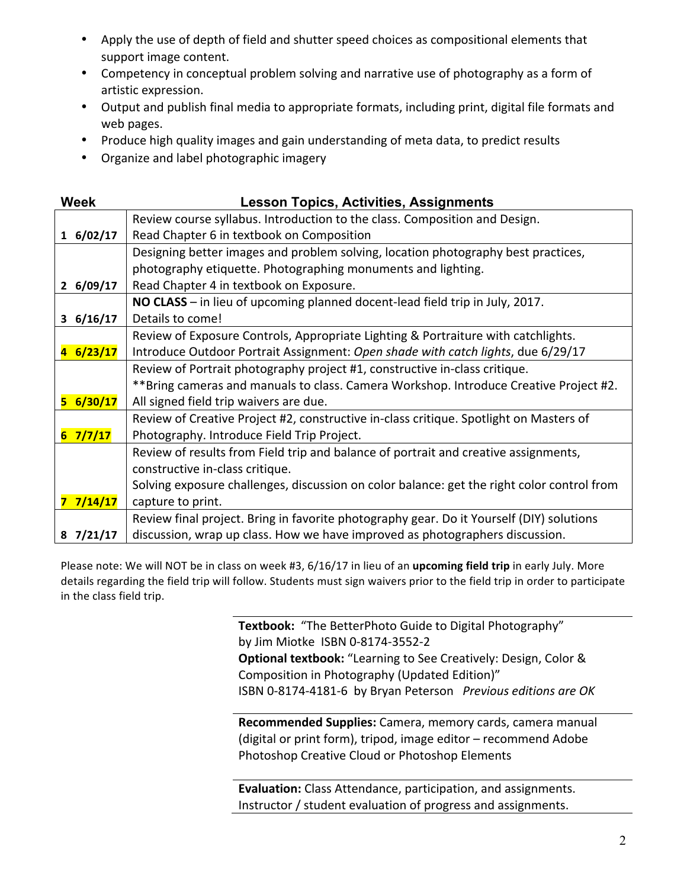- Apply the use of depth of field and shutter speed choices as compositional elements that support image content.
- Competency in conceptual problem solving and narrative use of photography as a form of artistic expression.
- Output and publish final media to appropriate formats, including print, digital file formats and web pages.
- Produce high quality images and gain understanding of meta data, to predict results
- Organize and label photographic imagery

| <b>Week</b>                        | <b>Lesson Topics, Activities, Assignments</b>                                              |
|------------------------------------|--------------------------------------------------------------------------------------------|
|                                    | Review course syllabus. Introduction to the class. Composition and Design.                 |
| 16/02/17                           | Read Chapter 6 in textbook on Composition                                                  |
|                                    | Designing better images and problem solving, location photography best practices,          |
|                                    | photography etiquette. Photographing monuments and lighting.                               |
| 26/09/17                           | Read Chapter 4 in textbook on Exposure.                                                    |
|                                    | NO CLASS - in lieu of upcoming planned docent-lead field trip in July, 2017.               |
| 36/16/17                           | Details to come!                                                                           |
|                                    | Review of Exposure Controls, Appropriate Lighting & Portraiture with catchlights.          |
| 6/23/17<br>$\overline{\mathbf{A}}$ | Introduce Outdoor Portrait Assignment: Open shade with catch lights, due 6/29/17           |
|                                    | Review of Portrait photography project #1, constructive in-class critique.                 |
|                                    | **Bring cameras and manuals to class. Camera Workshop. Introduce Creative Project #2.      |
| $5\frac{6}{30}/17$                 | All signed field trip waivers are due.                                                     |
|                                    | Review of Creative Project #2, constructive in-class critique. Spotlight on Masters of     |
| $6 \frac{7}{7}/17$                 | Photography. Introduce Field Trip Project.                                                 |
|                                    | Review of results from Field trip and balance of portrait and creative assignments,        |
|                                    | constructive in-class critique.                                                            |
|                                    | Solving exposure challenges, discussion on color balance: get the right color control from |
| 7/14/17<br>7                       | capture to print.                                                                          |
|                                    | Review final project. Bring in favorite photography gear. Do it Yourself (DIY) solutions   |
| $8 \frac{7}{21}$                   | discussion, wrap up class. How we have improved as photographers discussion.               |

Please note: We will NOT be in class on week #3, 6/16/17 in lieu of an *upcoming field trip* in early July. More details regarding the field trip will follow. Students must sign waivers prior to the field trip in order to participate in the class field trip.

> **Textbook:** "The BetterPhoto Guide to Digital Photography" by Jim Miotke ISBN 0-8174-3552-2 **Optional textbook:** "Learning to See Creatively: Design, Color & Composition in Photography (Updated Edition)" ISBN 0-8174-4181-6 by Bryan Peterson Previous editions are OK

**Recommended Supplies:** Camera, memory cards, camera manual (digital or print form), tripod, image editor - recommend Adobe Photoshop Creative Cloud or Photoshop Elements

**Evaluation:** Class Attendance, participation, and assignments. Instructor / student evaluation of progress and assignments.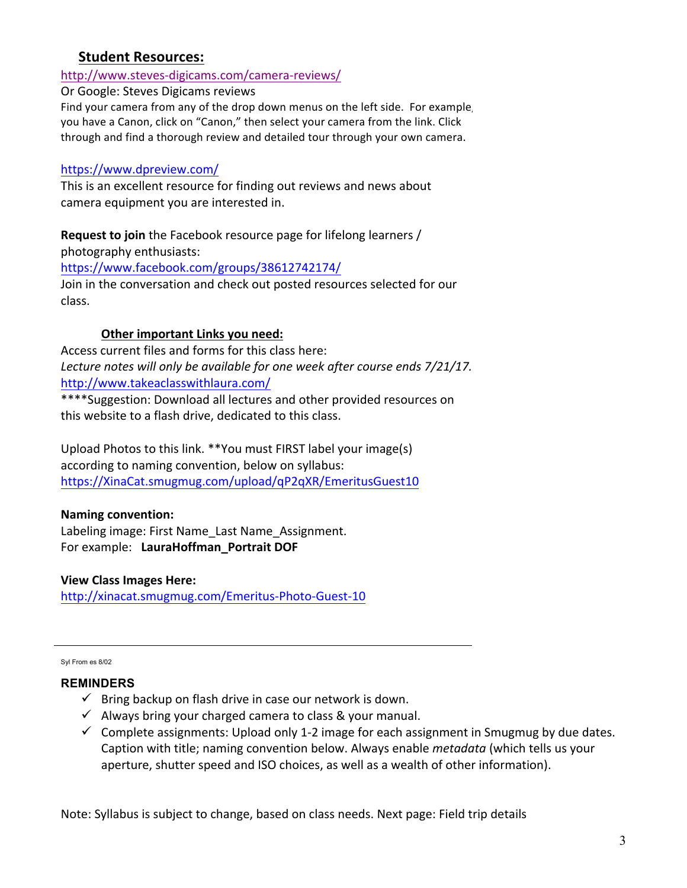# **Student Resources:**

# http://www.steves-digicams.com/camera-reviews/

Or Google: Steves Digicams reviews

Find your camera from any of the drop down menus on the left side. For example you have a Canon, click on "Canon," then select your camera from the link. Click through and find a thorough review and detailed tour through your own camera.

#### https://www.dpreview.com/

This is an excellent resource for finding out reviews and news about camera equipment you are interested in.

**Request to join** the Facebook resource page for lifelong learners / photography enthusiasts:

https://www.facebook.com/groups/38612742174/ Join in the conversation and check out posted resources selected for our class.

#### **Other important Links you need:**

Access current files and forms for this class here: Lecture notes will only be available for one week after course ends 7/21/17. http://www.takeaclasswithlaura.com/

\*\*\*\*Suggestion: Download all lectures and other provided resources on this website to a flash drive, dedicated to this class.

Upload Photos to this link. \*\*You must FIRST label your image(s) according to naming convention, below on syllabus: https://XinaCat.smugmug.com/upload/qP2qXR/EmeritusGuest10

# **Naming convention:**

Labeling image: First Name\_Last Name\_Assignment. For example: LauraHoffman\_Portrait DOF

#### **View Class Images Here:**

http://xinacat.smugmug.com/Emeritus-Photo-Guest-10

Syl From es 8/02

#### **REMINDERS**

- $\checkmark$  Bring backup on flash drive in case our network is down.
- $\checkmark$  Always bring your charged camera to class & your manual.
- $\checkmark$  Complete assignments: Upload only 1-2 image for each assignment in Smugmug by due dates. Caption with title; naming convention below. Always enable *metadata* (which tells us your aperture, shutter speed and ISO choices, as well as a wealth of other information).

Note: Syllabus is subject to change, based on class needs. Next page: Field trip details